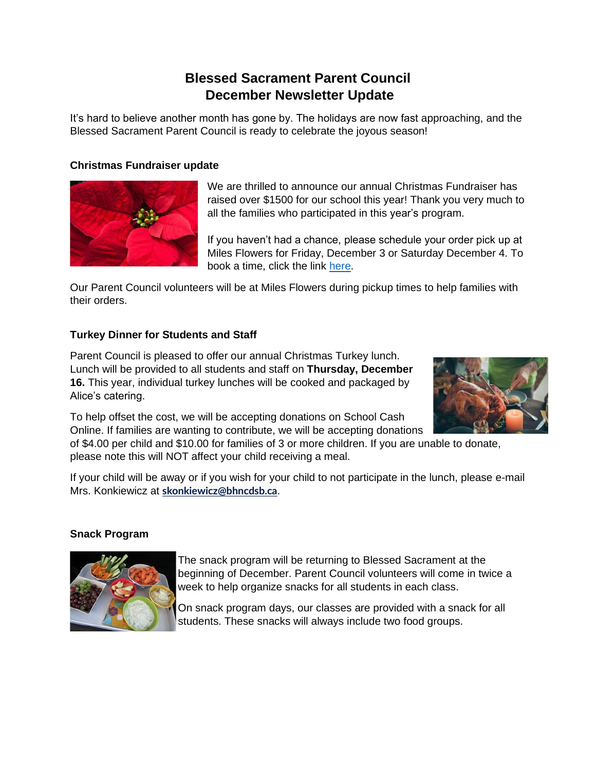# **Blessed Sacrament Parent Council December Newsletter Update**

It's hard to believe another month has gone by. The holidays are now fast approaching, and the Blessed Sacrament Parent Council is ready to celebrate the joyous season!

### **Christmas Fundraiser update**



We are thrilled to announce our annual Christmas Fundraiser has raised over \$1500 for our school this year! Thank you very much to all the families who participated in this year's program.

If you haven't had a chance, please schedule your order pick up at Miles Flowers for Friday, December 3 or Saturday December 4. To book a time, click the link [here.](https://outlook.office365.com/owa/calendar/BlessedSacrament@bhncdsbca.onmicrosoft.com/bookings/)

Our Parent Council volunteers will be at Miles Flowers during pickup times to help families with their orders.

## **Turkey Dinner for Students and Staff**

Parent Council is pleased to offer our annual Christmas Turkey lunch. Lunch will be provided to all students and staff on **Thursday, December 16.** This year, individual turkey lunches will be cooked and packaged by Alice's catering.



To help offset the cost, we will be accepting donations on School Cash Online. If families are wanting to contribute, we will be accepting donations

of \$4.00 per child and \$10.00 for families of 3 or more children. If you are unable to donate, please note this will NOT affect your child receiving a meal.

If your child will be away or if you wish for your child to not participate in the lunch, please e-mail Mrs. Konkiewicz at **[skonkiewicz@bhncdsb.ca](mailto:skonkiewicz@bhncdsb.ca)**.

#### **Snack Program**



The snack program will be returning to Blessed Sacrament at the beginning of December. Parent Council volunteers will come in twice a week to help organize snacks for all students in each class.

On snack program days, our classes are provided with a snack for all students. These snacks will always include two food groups.